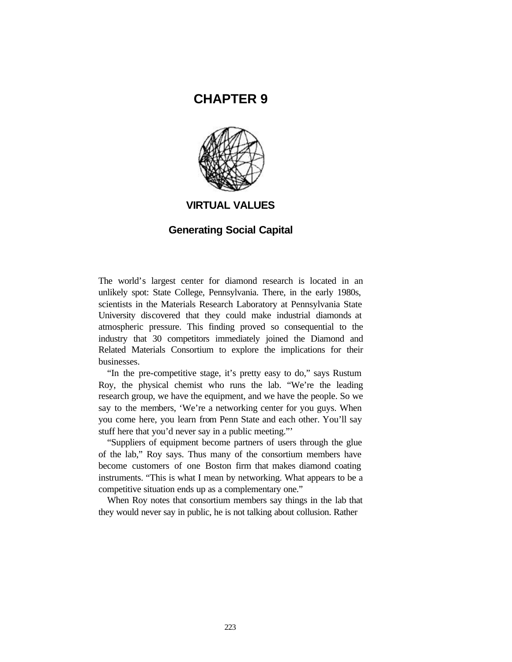# **CHAPTER 9**



## **VIRTUAL VALUES**

## **Generating Social Capital**

The world's largest center for diamond research is located in an unlikely spot: State College, Pennsylvania. There, in the early 1980s, scientists in the Materials Research Laboratory at Pennsylvania State University discovered that they could make industrial diamonds at atmospheric pressure. This finding proved so consequential to the industry that 30 competitors immediately joined the Diamond and Related Materials Consortium to explore the implications for their businesses.

"In the pre-competitive stage, it's pretty easy to do," says Rustum Roy, the physical chemist who runs the lab. "We're the leading research group, we have the equipment, and we have the people. So we say to the members, 'We're a networking center for you guys. When you come here, you learn from Penn State and each other. You'll say stuff here that you'd never say in a public meeting."'

"Suppliers of equipment become partners of users through the glue of the lab," Roy says. Thus many of the consortium members have become customers of one Boston firm that makes diamond coating instruments. "This is what I mean by networking. What appears to be a competitive situation ends up as a complementary one."

When Roy notes that consortium members say things in the lab that they would never say in public, he is not talking about collusion. Rather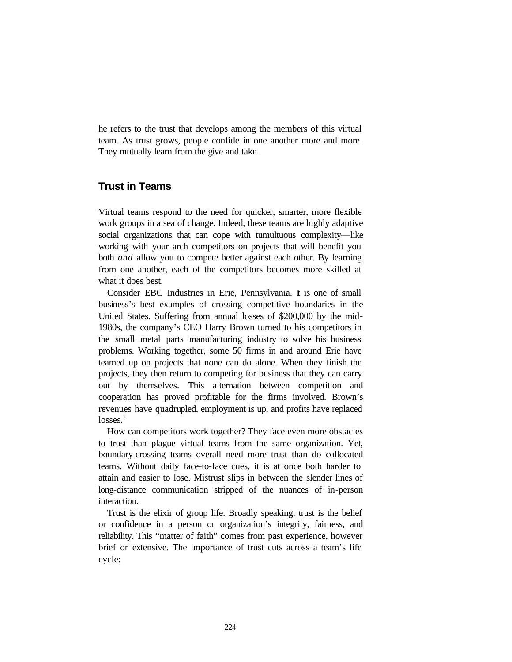he refers to the trust that develops among the members of this virtual team. As trust grows, people confide in one another more and more. They mutually learn from the give and take.

## **Trust in Teams**

Virtual teams respond to the need for quicker, smarter, more flexible work groups in a sea of change. Indeed, these teams are highly adaptive social organizations that can cope with tumultuous complexity—like working with your arch competitors on projects that will benefit you both *and* allow you to compete better against each other. By learning from one another, each of the competitors becomes more skilled at what it does best.

Consider EBC Industries in Erie, Pennsylvania. It is one of small business's best examples of crossing competitive boundaries in the United States. Suffering from annual losses of \$200,000 by the mid-1980s, the company's CEO Harry Brown turned to his competitors in the small metal parts manufacturing industry to solve his business problems. Working together, some 50 firms in and around Erie have teamed up on projects that none can do alone. When they finish the projects, they then return to competing for business that they can carry out by themselves. This alternation between competition and cooperation has proved profitable for the firms involved. Brown's revenues have quadrupled, employment is up, and profits have replaced  $losses.<sup>1</sup>$ 

How can competitors work together? They face even more obstacles to trust than plague virtual teams from the same organization. Yet, boundary-crossing teams overall need more trust than do collocated teams. Without daily face-to-face cues, it is at once both harder to attain and easier to lose. Mistrust slips in between the slender lines of long-distance communication stripped of the nuances of in-person interaction.

Trust is the elixir of group life. Broadly speaking, trust is the belief or confidence in a person or organization's integrity, fairness, and reliability. This "matter of faith" comes from past experience, however brief or extensive. The importance of trust cuts across a team's life cycle: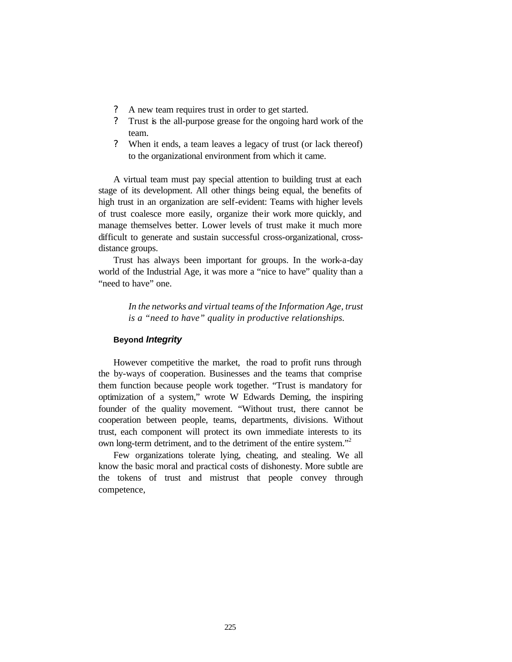- ? A new team requires trust in order to get started.
- ? Trust is the all-purpose grease for the ongoing hard work of the team.
- ? When it ends, a team leaves a legacy of trust (or lack thereof) to the organizational environment from which it came.

A virtual team must pay special attention to building trust at each stage of its development. All other things being equal, the benefits of high trust in an organization are self-evident: Teams with higher levels of trust coalesce more easily, organize their work more quickly, and manage themselves better. Lower levels of trust make it much more difficult to generate and sustain successful cross-organizational, crossdistance groups.

Trust has always been important for groups. In the work-a-day world of the Industrial Age, it was more a "nice to have" quality than a "need to have" one.

> *In the networks and virtual teams of the Information Age, trust is a "need to have" quality in productive relationships.*

### **Beyond** *Integrity*

However competitive the market, the road to profit runs through the by-ways of cooperation. Businesses and the teams that comprise them function because people work together. "Trust is mandatory for optimization of a system," wrote W Edwards Deming, the inspiring founder of the quality movement. "Without trust, there cannot be cooperation between people, teams, departments, divisions. Without trust, each component will protect its own immediate interests to its own long-term detriment, and to the detriment of the entire system."<sup>2</sup>

Few organizations tolerate lying, cheating, and stealing. We all know the basic moral and practical costs of dishonesty. More subtle are the tokens of trust and mistrust that people convey through competence,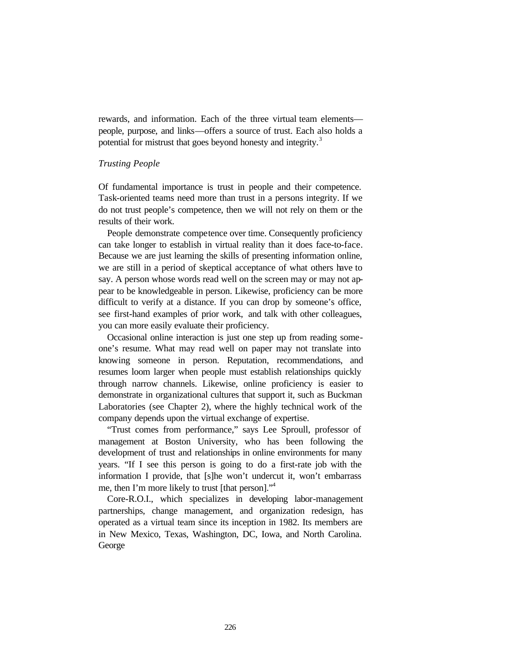rewards, and information. Each of the three virtual team elements people, purpose, and links—offers a source of trust. Each also holds a potential for mistrust that goes beyond honesty and integrity.<sup>3</sup>

### *Trusting People*

Of fundamental importance is trust in people and their competence. Task-oriented teams need more than trust in a persons integrity. If we do not trust people's competence, then we will not rely on them or the results of their work.

People demonstrate competence over time. Consequently proficiency can take longer to establish in virtual reality than it does face-to-face. Because we are just learning the skills of presenting information online, we are still in a period of skeptical acceptance of what others have to say. A person whose words read well on the screen may or may not appear to be knowledgeable in person. Likewise, proficiency can be more difficult to verify at a distance. If you can drop by someone's office, see first-hand examples of prior work, and talk with other colleagues, you can more easily evaluate their proficiency.

Occasional online interaction is just one step up from reading someone's resume. What may read well on paper may not translate into knowing someone in person. Reputation, recommendations, and resumes loom larger when people must establish relationships quickly through narrow channels. Likewise, online proficiency is easier to demonstrate in organizational cultures that support it, such as Buckman Laboratories (see Chapter 2), where the highly technical work of the company depends upon the virtual exchange of expertise.

"Trust comes from performance," says Lee Sproull, professor of management at Boston University, who has been following the development of trust and relationships in online environments for many years. "If I see this person is going to do a first-rate job with the information I provide, that [s]he won't undercut it, won't embarrass me, then I'm more likely to trust [that person]."<sup>4</sup>

Core-R.O.I., which specializes in developing labor-management partnerships, change management, and organization redesign, has operated as a virtual team since its inception in 1982. Its members are in New Mexico, Texas, Washington, DC, Iowa, and North Carolina. George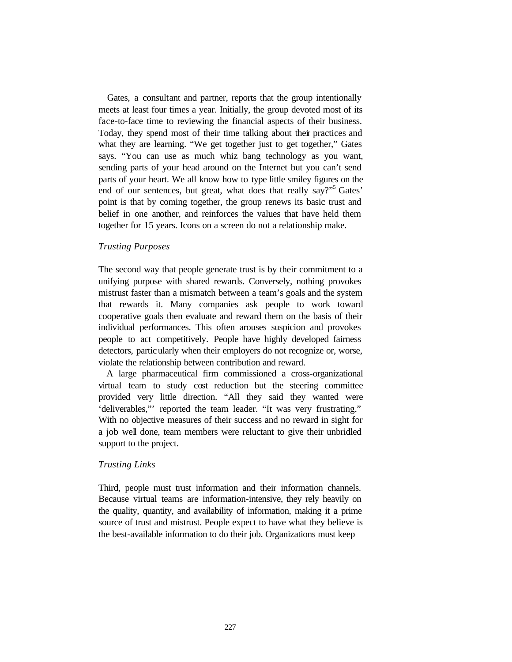Gates, a consultant and partner, reports that the group intentionally meets at least four times a year. Initially, the group devoted most of its face-to-face time to reviewing the financial aspects of their business. Today, they spend most of their time talking about their practices and what they are learning. "We get together just to get together," Gates says. "You can use as much whiz bang technology as you want, sending parts of your head around on the Internet but you can't send parts of your heart. We all know how to type little smiley figures on the end of our sentences, but great, what does that really say?"<sup>5</sup> Gates' point is that by coming together, the group renews its basic trust and belief in one another, and reinforces the values that have held them together for 15 years. Icons on a screen do not a relationship make.

#### *Trusting Purposes*

The second way that people generate trust is by their commitment to a unifying purpose with shared rewards. Conversely, nothing provokes mistrust faster than a mismatch between a team's goals and the system that rewards it. Many companies ask people to work toward cooperative goals then evaluate and reward them on the basis of their individual performances. This often arouses suspicion and provokes people to act competitively. People have highly developed fairness detectors, particularly when their employers do not recognize or, worse, violate the relationship between contribution and reward.

A large pharmaceutical firm commissioned a cross-organizational virtual team to study cost reduction but the steering committee provided very little direction. "All they said they wanted were 'deliverables,"' reported the team leader. "It was very frustrating." With no objective measures of their success and no reward in sight for a job well done, team members were reluctant to give their unbridled support to the project.

#### *Trusting Links*

Third, people must trust information and their information channels. Because virtual teams are information-intensive, they rely heavily on the quality, quantity, and availability of information, making it a prime source of trust and mistrust. People expect to have what they believe is the best-available information to do their job. Organizations must keep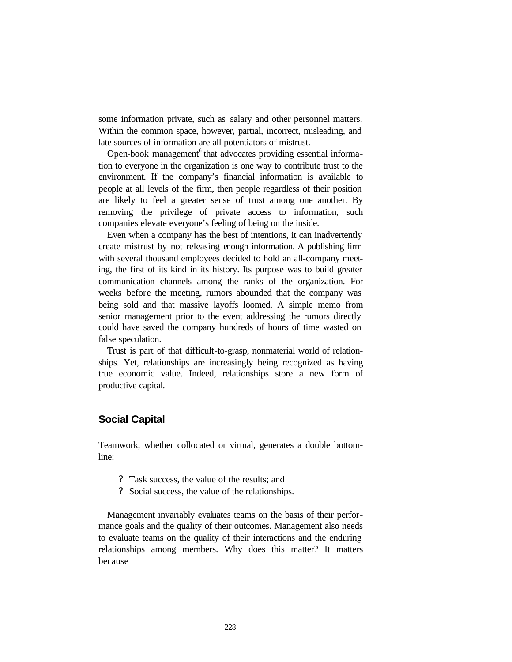some information private, such as salary and other personnel matters. Within the common space, however, partial, incorrect, misleading, and late sources of information are all potentiators of mistrust.

Open-book management<sup>6</sup> that advocates providing essential information to everyone in the organization is one way to contribute trust to the environment. If the company's financial information is available to people at all levels of the firm, then people regardless of their position are likely to feel a greater sense of trust among one another. By removing the privilege of private access to information, such companies elevate everyone's feeling of being on the inside.

Even when a company has the best of intentions, it can inadvertently create mistrust by not releasing enough information. A publishing firm with several thousand employees decided to hold an all-company meeting, the first of its kind in its history. Its purpose was to build greater communication channels among the ranks of the organization. For weeks before the meeting, rumors abounded that the company was being sold and that massive layoffs loomed. A simple memo from senior management prior to the event addressing the rumors directly could have saved the company hundreds of hours of time wasted on false speculation.

Trust is part of that difficult-to-grasp, nonmaterial world of relationships. Yet, relationships are increasingly being recognized as having true economic value. Indeed, relationships store a new form of productive capital.

## **Social Capital**

Teamwork, whether collocated or virtual, generates a double bottomline:

- ? Task success, the value of the results; and
- ? Social success, the value of the relationships.

Management invariably evaluates teams on the basis of their performance goals and the quality of their outcomes. Management also needs to evaluate teams on the quality of their interactions and the enduring relationships among members. Why does this matter? It matters because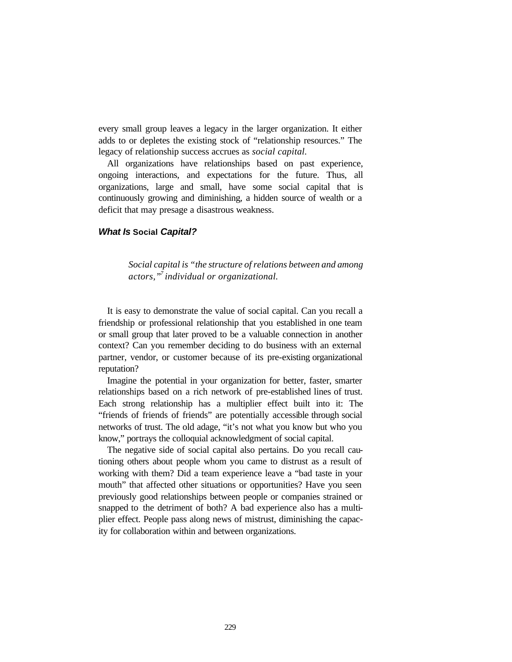every small group leaves a legacy in the larger organization. It either adds to or depletes the existing stock of "relationship resources." The legacy of relationship success accrues as *social capital.*

All organizations have relationships based on past experience, ongoing interactions, and expectations for the future. Thus, all organizations, large and small, have some social capital that is continuously growing and diminishing, a hidden source of wealth or a deficit that may presage a disastrous weakness.

### *What Is* **Social** *Capital?*

*Social capital is "the structure of relations between and among actors,"<sup>7</sup>individual or organizational.*

It is easy to demonstrate the value of social capital. Can you recall a friendship or professional relationship that you established in one team or small group that later proved to be a valuable connection in another context? Can you remember deciding to do business with an external partner, vendor, or customer because of its pre-existing organizational reputation?

Imagine the potential in your organization for better, faster, smarter relationships based on a rich network of pre-established lines of trust. Each strong relationship has a multiplier effect built into it: The "friends of friends of friends" are potentially accessible through social networks of trust. The old adage, "it's not what you know but who you know," portrays the colloquial acknowledgment of social capital.

The negative side of social capital also pertains. Do you recall cautioning others about people whom you came to distrust as a result of working with them? Did a team experience leave a "bad taste in your mouth" that affected other situations or opportunities? Have you seen previously good relationships between people or companies strained or snapped to the detriment of both? A bad experience also has a multiplier effect. People pass along news of mistrust, diminishing the capacity for collaboration within and between organizations.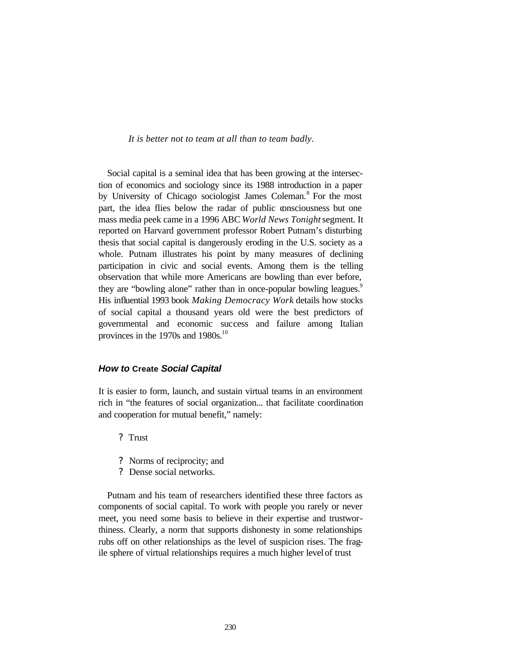#### *It is better not to team at all than to team badly.*

Social capital is a seminal idea that has been growing at the intersection of economics and sociology since its 1988 introduction in a paper by University of Chicago sociologist James Coleman.<sup>8</sup> For the most part, the idea flies below the radar of public consciousness but one mass media peek came in a 1996 ABC *World News Tonight* segment. It reported on Harvard government professor Robert Putnam's disturbing thesis that social capital is dangerously eroding in the U.S. society as a whole. Putnam illustrates his point by many measures of declining participation in civic and social events. Among them is the telling observation that while more Americans are bowling than ever before, they are "bowling alone" rather than in once-popular bowling leagues.<sup>9</sup> His influential 1993 book *Making Democracy Work* details how stocks of social capital a thousand years old were the best predictors of governmental and economic success and failure among Italian provinces in the 1970s and 1980s.<sup>10</sup>

## *How to* **Create** *Social Capital*

It is easier to form, launch, and sustain virtual teams in an environment rich in "the features of social organization... that facilitate coordination and cooperation for mutual benefit," namely:

- ? Trust
- ? Norms of reciprocity; and
- ? Dense social networks.

Putnam and his team of researchers identified these three factors as components of social capital. To work with people you rarely or never meet, you need some basis to believe in their expertise and trustworthiness. Clearly, a norm that supports dishonesty in some relationships rubs off on other relationships as the level of suspicion rises. The fragile sphere of virtual relationships requires a much higher level of trust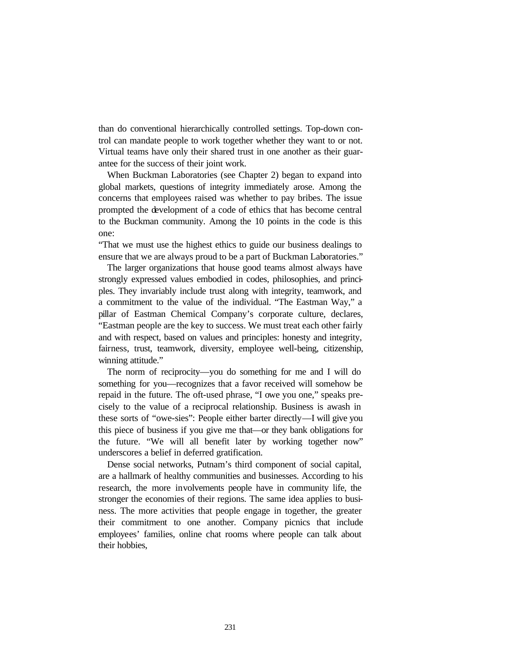than do conventional hierarchically controlled settings. Top-down control can mandate people to work together whether they want to or not. Virtual teams have only their shared trust in one another as their guarantee for the success of their joint work.

When Buckman Laboratories (see Chapter 2) began to expand into global markets, questions of integrity immediately arose. Among the concerns that employees raised was whether to pay bribes. The issue prompted the development of a code of ethics that has become central to the Buckman community. Among the 10 points in the code is this one:

"That we must use the highest ethics to guide our business dealings to ensure that we are always proud to be a part of Buckman Laboratories."

The larger organizations that house good teams almost always have strongly expressed values embodied in codes, philosophies, and principles. They invariably include trust along with integrity, teamwork, and a commitment to the value of the individual. "The Eastman Way," a pillar of Eastman Chemical Company's corporate culture, declares, "Eastman people are the key to success. We must treat each other fairly and with respect, based on values and principles: honesty and integrity, fairness, trust, teamwork, diversity, employee well-being, citizenship, winning attitude."

The norm of reciprocity—you do something for me and I will do something for you—recognizes that a favor received will somehow be repaid in the future. The oft-used phrase, "I owe you one," speaks precisely to the value of a reciprocal relationship. Business is awash in these sorts of "owe-sies": People either barter directly—I will give you this piece of business if you give me that—or they bank obligations for the future. "We will all benefit later by working together now" underscores a belief in deferred gratification.

Dense social networks, Putnam's third component of social capital, are a hallmark of healthy communities and businesses. According to his research, the more involvements people have in community life, the stronger the economies of their regions. The same idea applies to business. The more activities that people engage in together, the greater their commitment to one another. Company picnics that include employees' families, online chat rooms where people can talk about their hobbies,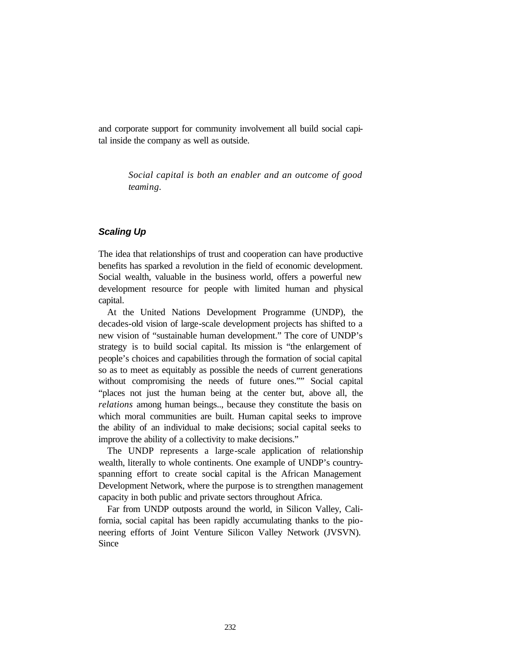and corporate support for community involvement all build social capital inside the company as well as outside.

> *Social capital is both an enabler and an outcome of good teaming.*

### *Scaling Up*

The idea that relationships of trust and cooperation can have productive benefits has sparked a revolution in the field of economic development. Social wealth, valuable in the business world, offers a powerful new development resource for people with limited human and physical capital.

At the United Nations Development Programme (UNDP), the decades-old vision of large-scale development projects has shifted to a new vision of "sustainable human development." The core of UNDP's strategy is to build social capital. Its mission is "the enlargement of people's choices and capabilities through the formation of social capital so as to meet as equitably as possible the needs of current generations without compromising the needs of future ones."" Social capital "places not just the human being at the center but, above all, the *relations* among human beings.., because they constitute the basis on which moral communities are built. Human capital seeks to improve the ability of an individual to make decisions; social capital seeks to improve the ability of a collectivity to make decisions."

The UNDP represents a large-scale application of relationship wealth, literally to whole continents. One example of UNDP's countryspanning effort to create social capital is the African Management Development Network, where the purpose is to strengthen management capacity in both public and private sectors throughout Africa.

Far from UNDP outposts around the world, in Silicon Valley, California, social capital has been rapidly accumulating thanks to the pioneering efforts of Joint Venture Silicon Valley Network (JVSVN). Since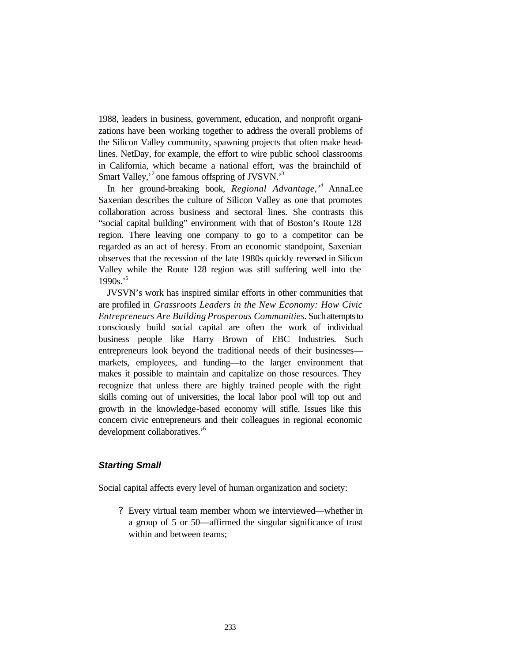1988, leaders in business, government, education, and nonprofit organizations have been working together to address the overall problems of the Silicon Valley community, spawning projects that often make headlines. NetDay, for example, the effort to wire public school classrooms in California, which became a national effort, was the brainchild of Smart Valley,<sup>2</sup> one famous offspring of JVSVN.<sup>3</sup>

In her ground-breaking book, *Regional Advantage,'<sup>4</sup>*AnnaLee Saxenian describes the culture of Silicon Valley as one that promotes collaboration across business and sectoral lines. She contrasts this "social capital building" environment with that of Boston's Route 128 region. There leaving one company to go to a competitor can be regarded as an act of heresy. From an economic standpoint, Saxenian observes that the recession of the late 1980s quickly reversed in Silicon Valley while the Route 128 region was still suffering well into the  $1990s.<sup>5</sup>$ 

JVSVN's work has inspired similar efforts in other communities that are profiled in *Grassroots Leaders in the New Economy: How Civic Entrepreneurs Are Building Prosperous Communities.* Such attempts to consciously build social capital are often the work of individual business people like Harry Brown of EBC Industries. Such entrepreneurs look beyond the traditional needs of their businesses markets, employees, and funding—to the larger environment that makes it possible to maintain and capitalize on those resources. They recognize that unless there are highly trained people with the right skills coming out of universities, the local labor pool will top out and growth in the knowledge-based economy will stifle. Issues like this concern civic entrepreneurs and their colleagues in regional economic development collaboratives.<sup>'6</sup>

### *Starting Small*

Social capital affects every level of human organization and society:

? Every virtual team member whom we interviewed—whether in a group of 5 or 50—affirmed the singular significance of trust within and between teams;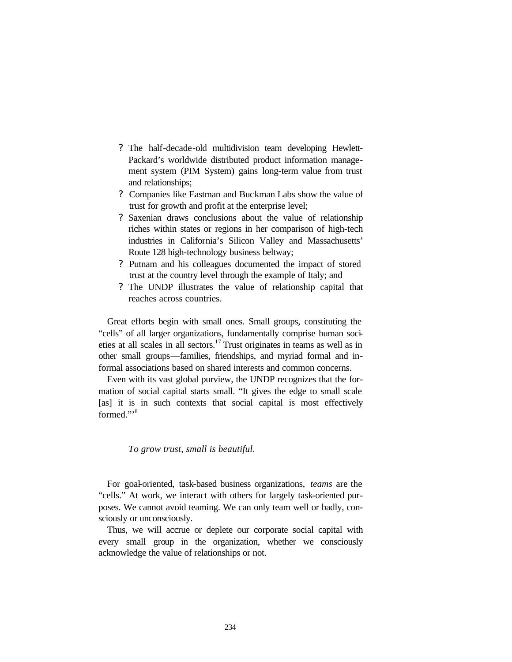- ? The half-decade-old multidivision team developing Hewlett-Packard's worldwide distributed product information management system (PIM System) gains long-term value from trust and relationships;
- ? Companies like Eastman and Buckman Labs show the value of trust for growth and profit at the enterprise level;
- ? Saxenian draws conclusions about the value of relationship riches within states or regions in her comparison of high-tech industries in California's Silicon Valley and Massachusetts' Route 128 high-technology business beltway;
- ? Putnam and his colleagues documented the impact of stored trust at the country level through the example of Italy; and
- ? The UNDP illustrates the value of relationship capital that reaches across countries.

Great efforts begin with small ones. Small groups, constituting the "cells" of all larger organizations, fundamentally comprise human societies at all scales in all sectors.<sup>17</sup> Trust originates in teams as well as in other small groups—families, friendships, and myriad formal and informal associations based on shared interests and common concerns.

Even with its vast global purview, the UNDP recognizes that the formation of social capital starts small. "It gives the edge to small scale [as] it is in such contexts that social capital is most effectively formed."<sup>8</sup>

## *To grow trust, small is beautiful.*

For goal-oriented, task-based business organizations, *teams* are the "cells." At work, we interact with others for largely task-oriented purposes. We cannot avoid teaming. We can only team well or badly, consciously or unconsciously.

Thus, we will accrue or deplete our corporate social capital with every small group in the organization, whether we consciously acknowledge the value of relationships or not.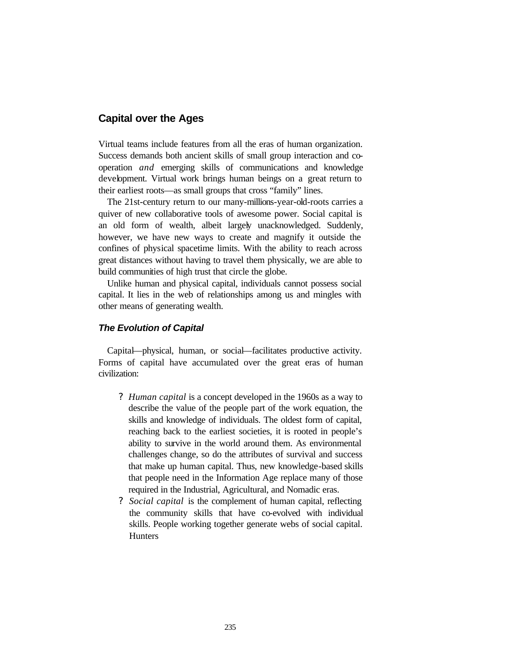## **Capital over the Ages**

Virtual teams include features from all the eras of human organization. Success demands both ancient skills of small group interaction and cooperation *and* emerging skills of communications and knowledge development. Virtual work brings human beings on a great return to their earliest roots—as small groups that cross "family" lines.

The 21st-century return to our many-millions-year-old-roots carries a quiver of new collaborative tools of awesome power. Social capital is an old form of wealth, albeit largely unacknowledged. Suddenly, however, we have new ways to create and magnify it outside the confines of physical spacetime limits. With the ability to reach across great distances without having to travel them physically, we are able to build communities of high trust that circle the globe.

Unlike human and physical capital, individuals cannot possess social capital. It lies in the web of relationships among us and mingles with other means of generating wealth.

## *The Evolution of Capital*

Capital—physical, human, or social—facilitates productive activity. Forms of capital have accumulated over the great eras of human civilization:

- *? Human capital* is a concept developed in the 1960s as a way to describe the value of the people part of the work equation, the skills and knowledge of individuals. The oldest form of capital, reaching back to the earliest societies, it is rooted in people's ability to survive in the world around them. As environmental challenges change, so do the attributes of survival and success that make up human capital. Thus, new knowledge-based skills that people need in the Information Age replace many of those required in the Industrial, Agricultural, and Nomadic eras.
- *? Social capital* is the complement of human capital, reflecting the community skills that have co-evolved with individual skills. People working together generate webs of social capital. **Hunters**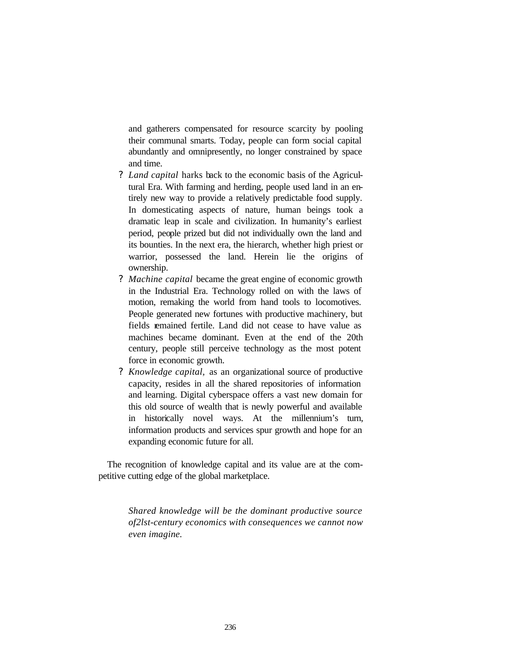and gatherers compensated for resource scarcity by pooling their communal smarts. Today, people can form social capital abundantly and omnipresently, no longer constrained by space and time.

- *? Land capital* harks back to the economic basis of the Agricultural Era. With farming and herding, people used land in an entirely new way to provide a relatively predictable food supply. In domesticating aspects of nature, human beings took a dramatic leap in scale and civilization. In humanity's earliest period, people prized but did not individually own the land and its bounties. In the next era, the hierarch, whether high priest or warrior, possessed the land. Herein lie the origins of ownership.
- *? Machine capital* became the great engine of economic growth in the Industrial Era. Technology rolled on with the laws of motion, remaking the world from hand tools to locomotives. People generated new fortunes with productive machinery, but fields remained fertile. Land did not cease to have value as machines became dominant. Even at the end of the 20th century, people still perceive technology as the most potent force in economic growth.
- *? Knowledge capital,* as an organizational source of productive capacity, resides in all the shared repositories of information and learning. Digital cyberspace offers a vast new domain for this old source of wealth that is newly powerful and available in historically novel ways. At the millennium's turn, information products and services spur growth and hope for an expanding economic future for all.

The recognition of knowledge capital and its value are at the competitive cutting edge of the global marketplace.

> *Shared knowledge will be the dominant productive source of2lst-century economics with consequences we cannot now even imagine.*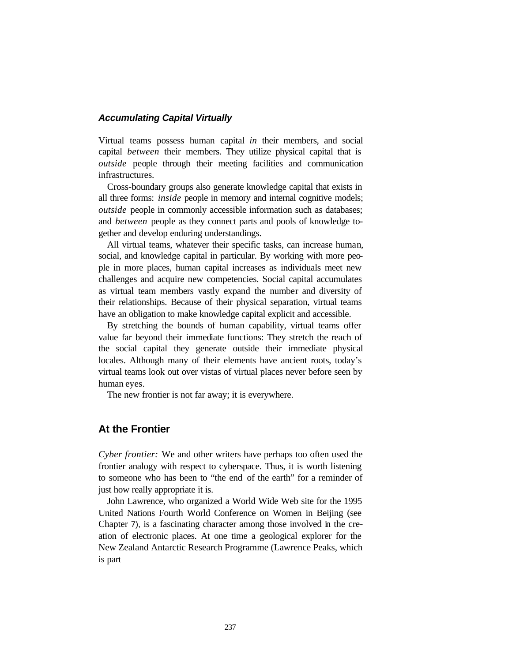#### *Accumulating Capital Virtually*

Virtual teams possess human capital *in* their members, and social capital *between* their members. They utilize physical capital that is *outside* people through their meeting facilities and communication infrastructures.

Cross-boundary groups also generate knowledge capital that exists in all three forms: *inside* people in memory and internal cognitive models; *outside* people in commonly accessible information such as databases; and *between* people as they connect parts and pools of knowledge together and develop enduring understandings.

All virtual teams, whatever their specific tasks, can increase human, social, and knowledge capital in particular. By working with more people in more places, human capital increases as individuals meet new challenges and acquire new competencies. Social capital accumulates as virtual team members vastly expand the number and diversity of their relationships. Because of their physical separation, virtual teams have an obligation to make knowledge capital explicit and accessible.

By stretching the bounds of human capability, virtual teams offer value far beyond their immediate functions: They stretch the reach of the social capital they generate outside their immediate physical locales. Although many of their elements have ancient roots, today's virtual teams look out over vistas of virtual places never before seen by human eyes.

The new frontier is not far away; it is everywhere.

## **At the Frontier**

*Cyber frontier:* We and other writers have perhaps too often used the frontier analogy with respect to cyberspace. Thus, it is worth listening to someone who has been to "the end of the earth" for a reminder of just how really appropriate it is.

John Lawrence, who organized a World Wide Web site for the 1995 United Nations Fourth World Conference on Women in Beijing (see Chapter 7), is a fascinating character among those involved in the creation of electronic places. At one time a geological explorer for the New Zealand Antarctic Research Programme (Lawrence Peaks, which is part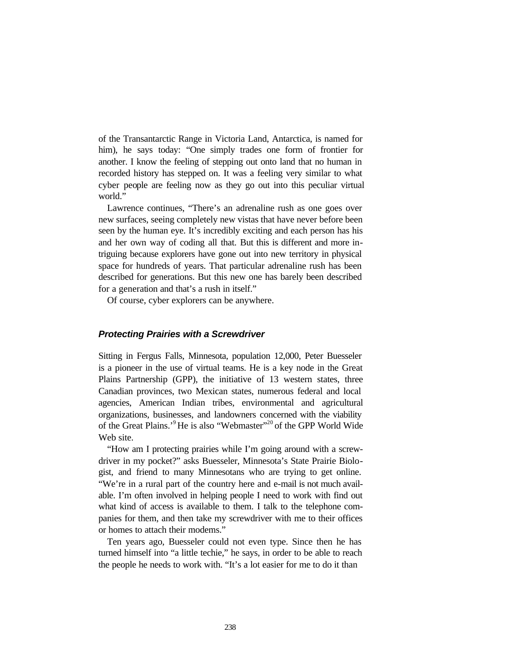of the Transantarctic Range in Victoria Land, Antarctica, is named for him), he says today: "One simply trades one form of frontier for another. I know the feeling of stepping out onto land that no human in recorded history has stepped on. It was a feeling very similar to what cyber people are feeling now as they go out into this peculiar virtual world."

Lawrence continues, "There's an adrenaline rush as one goes over new surfaces, seeing completely new vistas that have never before been seen by the human eye. It's incredibly exciting and each person has his and her own way of coding all that. But this is different and more intriguing because explorers have gone out into new territory in physical space for hundreds of years. That particular adrenaline rush has been described for generations. But this new one has barely been described for a generation and that's a rush in itself."

Of course, cyber explorers can be anywhere.

#### *Protecting Prairies with a Screwdriver*

Sitting in Fergus Falls, Minnesota, population 12,000, Peter Buesseler is a pioneer in the use of virtual teams. He is a key node in the Great Plains Partnership (GPP), the initiative of 13 western states, three Canadian provinces, two Mexican states, numerous federal and local agencies, American Indian tribes, environmental and agricultural organizations, businesses, and landowners concerned with the viability of the Great Plains.'<sup>9</sup> He is also "Webmaster"<sup>20</sup> of the GPP World Wide Web site.

"How am I protecting prairies while I'm going around with a screwdriver in my pocket?" asks Buesseler, Minnesota's State Prairie Biologist, and friend to many Minnesotans who are trying to get online. "We're in a rural part of the country here and e-mail is not much available. I'm often involved in helping people I need to work with find out what kind of access is available to them. I talk to the telephone companies for them, and then take my screwdriver with me to their offices or homes to attach their modems."

Ten years ago, Buesseler could not even type. Since then he has turned himself into "a little techie," he says, in order to be able to reach the people he needs to work with. "It's a lot easier for me to do it than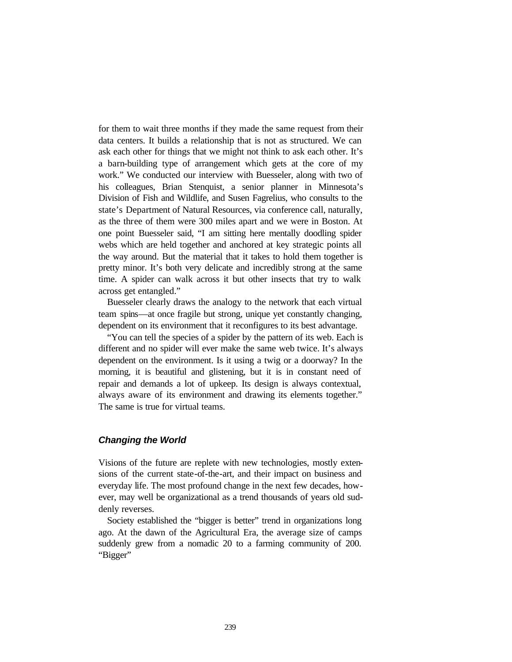for them to wait three months if they made the same request from their data centers. It builds a relationship that is not as structured. We can ask each other for things that we might not think to ask each other. It's a barn-building type of arrangement which gets at the core of my work." We conducted our interview with Buesseler, along with two of his colleagues, Brian Stenquist, a senior planner in Minnesota's Division of Fish and Wildlife, and Susen Fagrelius, who consults to the state's Department of Natural Resources, via conference call, naturally, as the three of them were 300 miles apart and we were in Boston. At one point Buesseler said, "I am sitting here mentally doodling spider webs which are held together and anchored at key strategic points all the way around. But the material that it takes to hold them together is pretty minor. It's both very delicate and incredibly strong at the same time. A spider can walk across it but other insects that try to walk across get entangled."

Buesseler clearly draws the analogy to the network that each virtual team spins—at once fragile but strong, unique yet constantly changing, dependent on its environment that it reconfigures to its best advantage.

"You can tell the species of a spider by the pattern of its web. Each is different and no spider will ever make the same web twice. It's always dependent on the environment. Is it using a twig or a doorway? In the morning, it is beautiful and glistening, but it is in constant need of repair and demands a lot of upkeep. Its design is always contextual, always aware of its environment and drawing its elements together." The same is true for virtual teams.

#### *Changing the World*

Visions of the future are replete with new technologies, mostly extensions of the current state-of-the-art, and their impact on business and everyday life. The most profound change in the next few decades, however, may well be organizational as a trend thousands of years old suddenly reverses.

Society established the "bigger is better" trend in organizations long ago. At the dawn of the Agricultural Era, the average size of camps suddenly grew from a nomadic 20 to a farming community of 200. "Bigger"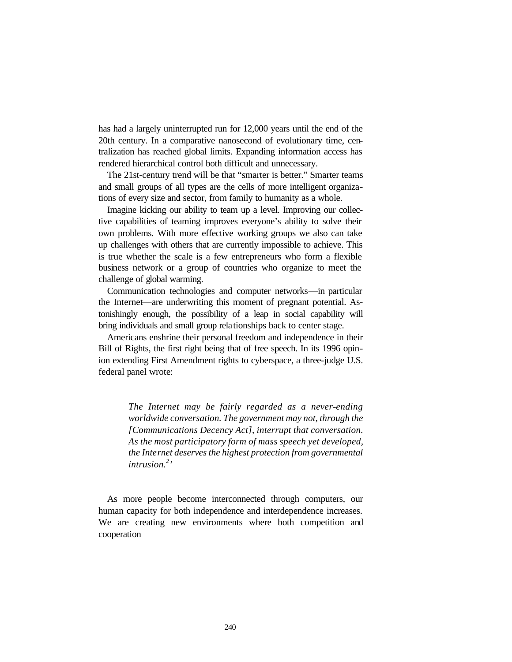has had a largely uninterrupted run for 12,000 years until the end of the 20th century. In a comparative nanosecond of evolutionary time, centralization has reached global limits. Expanding information access has rendered hierarchical control both difficult and unnecessary.

The 21st-century trend will be that "smarter is better." Smarter teams and small groups of all types are the cells of more intelligent organizations of every size and sector, from family to humanity as a whole.

Imagine kicking our ability to team up a level. Improving our collective capabilities of teaming improves everyone's ability to solve their own problems. With more effective working groups we also can take up challenges with others that are currently impossible to achieve. This is true whether the scale is a few entrepreneurs who form a flexible business network or a group of countries who organize to meet the challenge of global warming.

Communication technologies and computer networks—in particular the Internet—are underwriting this moment of pregnant potential. Astonishingly enough, the possibility of a leap in social capability will bring individuals and small group relationships back to center stage.

Americans enshrine their personal freedom and independence in their Bill of Rights, the first right being that of free speech. In its 1996 opinion extending First Amendment rights to cyberspace, a three-judge U.S. federal panel wrote:

> *The Internet may be fairly regarded as a never-ending worldwide conversation. The government may not, through the [Communications Decency Act], interrupt that conversation. As the most participatory form of mass speech yet developed, the Internet deserves the highest protection from governmental intrusion.<sup>2</sup> '*

As more people become interconnected through computers, our human capacity for both independence and interdependence increases. We are creating new environments where both competition and cooperation